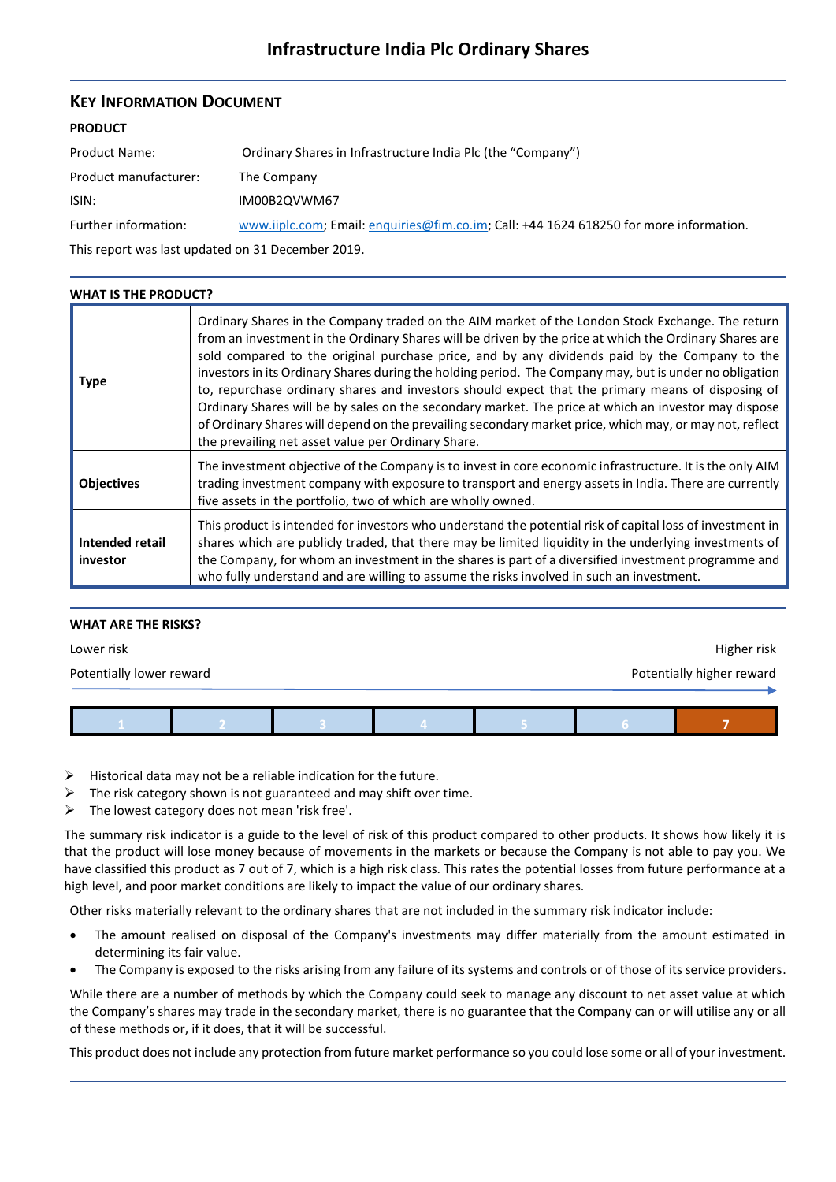# **KEY INFORMATION DOCUMENT**

# **PRODUCT**

| Product Name:         | Ordinary Shares in Infrastructure India Plc (the "Company")                            |  |  |
|-----------------------|----------------------------------------------------------------------------------------|--|--|
| Product manufacturer: | The Company                                                                            |  |  |
| ISIN:                 | IM00B2QVWM67                                                                           |  |  |
| Further information:  | www.iiplc.com; Email: enguiries@fim.co.im; Call: +44 1624 618250 for more information. |  |  |

This report was last updated on 31 December 2019.

| <b>WHAT IS THE PRODUCT?</b> |                                                                                                                                                                                                                                                                                                                                                                                                                                                                                                                                                                                                                                                                                                                                                                                                      |
|-----------------------------|------------------------------------------------------------------------------------------------------------------------------------------------------------------------------------------------------------------------------------------------------------------------------------------------------------------------------------------------------------------------------------------------------------------------------------------------------------------------------------------------------------------------------------------------------------------------------------------------------------------------------------------------------------------------------------------------------------------------------------------------------------------------------------------------------|
| Type                        | Ordinary Shares in the Company traded on the AIM market of the London Stock Exchange. The return<br>from an investment in the Ordinary Shares will be driven by the price at which the Ordinary Shares are<br>sold compared to the original purchase price, and by any dividends paid by the Company to the<br>investors in its Ordinary Shares during the holding period. The Company may, but is under no obligation<br>to, repurchase ordinary shares and investors should expect that the primary means of disposing of<br>Ordinary Shares will be by sales on the secondary market. The price at which an investor may dispose<br>of Ordinary Shares will depend on the prevailing secondary market price, which may, or may not, reflect<br>the prevailing net asset value per Ordinary Share. |
| <b>Objectives</b>           | The investment objective of the Company is to invest in core economic infrastructure. It is the only AIM<br>trading investment company with exposure to transport and energy assets in India. There are currently<br>five assets in the portfolio, two of which are wholly owned.                                                                                                                                                                                                                                                                                                                                                                                                                                                                                                                    |
| Intended retail<br>investor | This product is intended for investors who understand the potential risk of capital loss of investment in<br>shares which are publicly traded, that there may be limited liquidity in the underlying investments of<br>the Company, for whom an investment in the shares is part of a diversified investment programme and<br>who fully understand and are willing to assume the risks involved in such an investment.                                                                                                                                                                                                                                                                                                                                                                               |

# **WHAT ARE THE RISKS?**

| Lower risk               |  |  |  |  | Higher risk               |  |  |
|--------------------------|--|--|--|--|---------------------------|--|--|
| Potentially lower reward |  |  |  |  | Potentially higher reward |  |  |
|                          |  |  |  |  |                           |  |  |
|                          |  |  |  |  |                           |  |  |

- Historical data may not be a reliable indication for the future.
- $\triangleright$  The risk category shown is not guaranteed and may shift over time.
- $\triangleright$  The lowest category does not mean 'risk free'.

The summary risk indicator is a guide to the level of risk of this product compared to other products. It shows how likely it is that the product will lose money because of movements in the markets or because the Company is not able to pay you. We have classified this product as 7 out of 7, which is a high risk class. This rates the potential losses from future performance at a high level, and poor market conditions are likely to impact the value of our ordinary shares.

Other risks materially relevant to the ordinary shares that are not included in the summary risk indicator include:

- The amount realised on disposal of the Company's investments may differ materially from the amount estimated in determining its fair value.
- The Company is exposed to the risks arising from any failure of its systems and controls or of those of its service providers.

While there are a number of methods by which the Company could seek to manage any discount to net asset value at which the Company's shares may trade in the secondary market, there is no guarantee that the Company can or will utilise any or all of these methods or, if it does, that it will be successful.

This product does not include any protection from future market performance so you could lose some or all of your investment.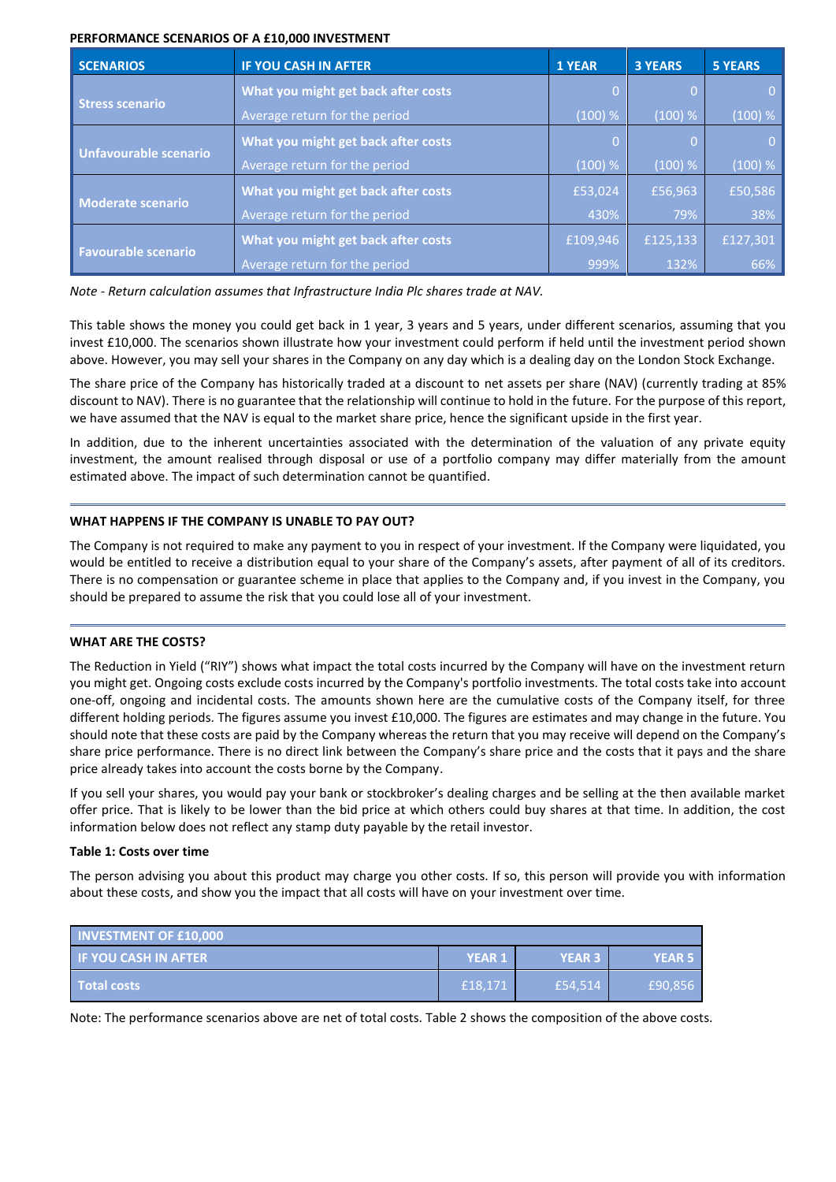#### **PERFORMANCE SCENARIOS OF A £10,000 INVESTMENT**

| <b>SCENARIOS</b>             | IF YOU CASH IN AFTER                | <b>1 YEAR</b> | <b>3 YEARS</b> | <b>5 YEARS</b> |
|------------------------------|-------------------------------------|---------------|----------------|----------------|
|                              | What you might get back after costs |               |                | 0.             |
| <b>Stress scenario</b>       | Average return for the period       | (100) %       | (100) %        | (100) %        |
|                              | What you might get back after costs | 0             |                | $\overline{0}$ |
| <b>Unfavourable scenario</b> | Average return for the period       | (100) %       | (100) %        | (100) %        |
|                              | What you might get back after costs | £53,024       | £56,963        | £50,586        |
| <b>Moderate scenario</b>     | Average return for the period       | 430%          | 79%            | 38%            |
| <b>Favourable scenario</b>   | What you might get back after costs | £109,946      | £125,133       | £127,301       |
|                              | Average return for the period       | 999%          | 132%           | 66%            |

*Note - Return calculation assumes that Infrastructure India Plc shares trade at NAV.*

This table shows the money you could get back in 1 year, 3 years and 5 years, under different scenarios, assuming that you invest £10,000. The scenarios shown illustrate how your investment could perform if held until the investment period shown above. However, you may sell your shares in the Company on any day which is a dealing day on the London Stock Exchange.

The share price of the Company has historically traded at a discount to net assets per share (NAV) (currently trading at 85% discount to NAV). There is no guarantee that the relationship will continue to hold in the future. For the purpose of this report, we have assumed that the NAV is equal to the market share price, hence the significant upside in the first year.

In addition, due to the inherent uncertainties associated with the determination of the valuation of any private equity investment, the amount realised through disposal or use of a portfolio company may differ materially from the amount estimated above. The impact of such determination cannot be quantified.

# **WHAT HAPPENS IF THE COMPANY IS UNABLE TO PAY OUT?**

The Company is not required to make any payment to you in respect of your investment. If the Company were liquidated, you would be entitled to receive a distribution equal to your share of the Company's assets, after payment of all of its creditors. There is no compensation or guarantee scheme in place that applies to the Company and, if you invest in the Company, you should be prepared to assume the risk that you could lose all of your investment.

# **WHAT ARE THE COSTS?**

The Reduction in Yield ("RIY") shows what impact the total costs incurred by the Company will have on the investment return you might get. Ongoing costs exclude costs incurred by the Company's portfolio investments. The total costs take into account one-off, ongoing and incidental costs. The amounts shown here are the cumulative costs of the Company itself, for three different holding periods. The figures assume you invest £10,000. The figures are estimates and may change in the future. You should note that these costs are paid by the Company whereas the return that you may receive will depend on the Company's share price performance. There is no direct link between the Company's share price and the costs that it pays and the share price already takes into account the costs borne by the Company.

If you sell your shares, you would pay your bank or stockbroker's dealing charges and be selling at the then available market offer price. That is likely to be lower than the bid price at which others could buy shares at that time. In addition, the cost information below does not reflect any stamp duty payable by the retail investor.

# **Table 1: Costs over time**

The person advising you about this product may charge you other costs. If so, this person will provide you with information about these costs, and show you the impact that all costs will have on your investment over time.

| <b>INVESTMENT OF £10,000</b>  |               |               |         |  |  |
|-------------------------------|---------------|---------------|---------|--|--|
| <b>IF YOU CASH IN AFTER !</b> | <b>YEAR 1</b> | <b>YEAR 3</b> | YEAR 5  |  |  |
| <b>Total costs</b>            | £18.171       | £54.514       | £90,856 |  |  |

Note: The performance scenarios above are net of total costs. Table 2 shows the composition of the above costs.